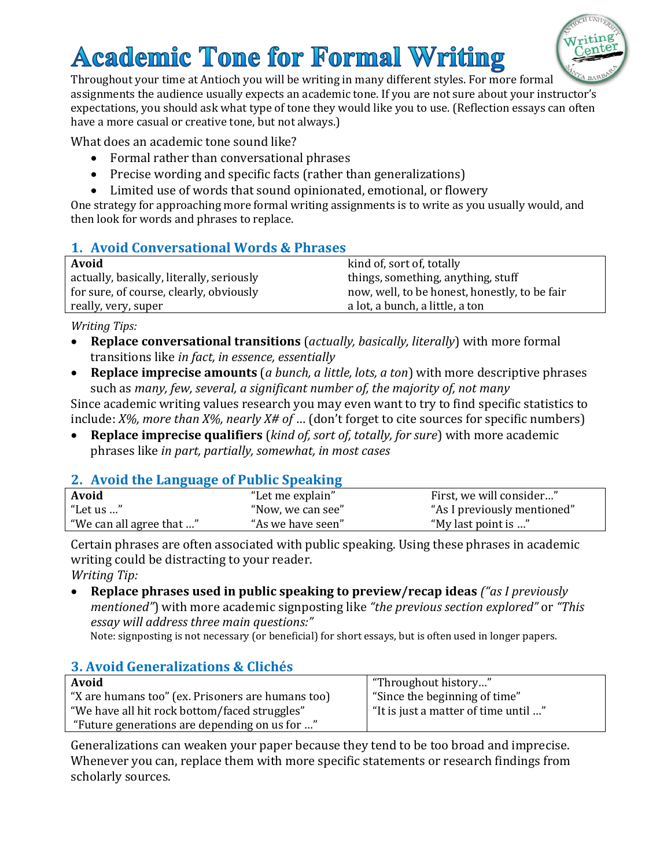# **Academic Tone for Formal Writing**



Throughout your time at Antioch you will be writing in many different styles. For more formal assignments the audience usually expects an academic tone. If you are not sure about your instructor's expectations, you should ask what type of tone they would like you to use. (Reflection essays can often have a more casual or creative tone, but not always.)

What does an academic tone sound like?

- Formal rather than conversational phrases
- Precise wording and specific facts (rather than generalizations)
- Limited use of words that sound opinionated, emotional, or flowery

One strategy for approaching more formal writing assignments is to write as you usually would, and then look for words and phrases to replace.

### **1. Avoid Conversational Words & Phrases**

| Avoid                                     | kind of, sort of, totally                     |
|-------------------------------------------|-----------------------------------------------|
| actually, basically, literally, seriously | things, something, anything, stuff            |
| for sure, of course, clearly, obviously   | now, well, to be honest, honestly, to be fair |
| really, very, super                       | a lot, a bunch, a little, a ton               |
|                                           |                                               |

*Writing Tips:*

- **Replace conversational transitions** (*actually, basically, literally*) with more formal transitions like *in fact, in essence, essentially*
- **Replace imprecise amounts** (*a bunch, a little, lots, a ton*) with more descriptive phrases such as *many, few, several, a significant number of, the majority of, not many*

Since academic writing values research you may even want to try to find specific statistics to include: *X%, more than X%, nearly X# of* … (don't forget to cite sources for specific numbers)

 **Replace imprecise qualifiers** (*kind of, sort of, totally, for sure*) with more academic phrases like *in part, partially, somewhat, in most cases*

### **2. Avoid the Language of Public Speaking**

| Avoid                    | "Let me explain"  | First, we will consider"    |
|--------------------------|-------------------|-----------------------------|
| "Let us "                | "Now, we can see" | "As I previously mentioned" |
| "We can all agree that " | "As we have seen" | "My last point is "         |

Certain phrases are often associated with public speaking. Using these phrases in academic writing could be distracting to your reader. *Writing Tip:*

 **Replace phrases used in public speaking to preview/recap ideas** *("as I previously mentioned"*) with more academic signposting like *"the previous section explored"* or *"This essay will address three main questions:"*

Note: signposting is not necessary (or beneficial) for short essays, but is often used in longer papers.

### **3. Avoid Generalizations & Clichés**

| Avoid                                             | "Throughout history"                 |
|---------------------------------------------------|--------------------------------------|
| "X are humans too" (ex. Prisoners are humans too) | "Since the beginning of time"        |
| "We have all hit rock bottom/faced struggles"     | "It is just a matter of time until " |
| "Future generations are depending on us for "     |                                      |

Generalizations can weaken your paper because they tend to be too broad and imprecise. Whenever you can, replace them with more specific statements or research findings from scholarly sources.